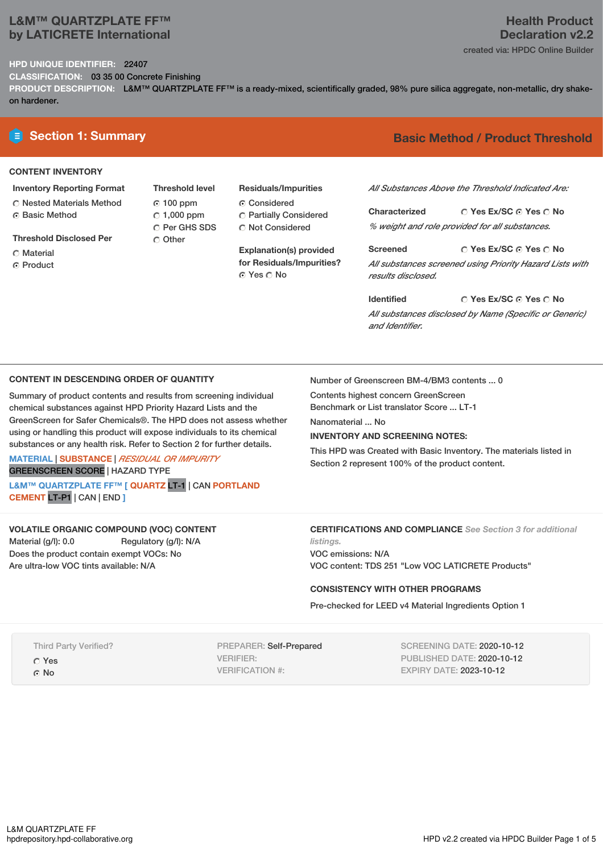# **L&M™ QUARTZPLATE FF™ by LATICRETE International**

#### **HPD UNIQUE IDENTIFIER:** 22407

**CLASSIFICATION:** 03 35 00 Concrete Finishing

PRODUCT DESCRIPTION: L&M™ QUARTZPLATE FF™ is a ready-mixed, scientifically graded, 98% pure silica aggregate, non-metallic, dry shakeon hardener.

#### **CONTENT INVENTORY**

- **Inventory Reporting Format** Nested Materials Method
- ⊙ Basic Method
- **Threshold Disclosed Per**
- C Material
- **C** Product

**Threshold level** 100 ppm  $\degree$  1,000 ppm Per GHS SDS O Other

**Residuals/Impurities** Considered Partially Considered C Not Considered

**Explanation(s) provided for Residuals/Impurities?** © Yes ∩ No

# **E** Section 1: Summary **Basic** Method / Product Threshold

*All Substances Above the Threshold Indicated Are:*

**Yes Ex/SC Yes No Characterized** *% weight and role provided for all substances.*

**Yes Ex/SC Yes No Screened** *All substances screened using Priority Hazard Lists with results disclosed.*

**Yes Ex/SC Yes No Identified** *All substances disclosed by Name (Specific or Generic) and Identifier.*

# **CONTENT IN DESCENDING ORDER OF QUANTITY**

Summary of product contents and results from screening individual chemical substances against HPD Priority Hazard Lists and the GreenScreen for Safer Chemicals®. The HPD does not assess whether using or handling this product will expose individuals to its chemical substances or any health risk. Refer to Section 2 for further details.

**MATERIAL** | **SUBSTANCE** | *RESIDUAL OR IMPURITY* GREENSCREEN SCORE | HAZARD TYPE

**L&M™ QUARTZPLATE FF™ [ QUARTZ** LT-1 | CAN **PORTLAND CEMENT** LT-P1 | CAN | END **]**

### **VOLATILE ORGANIC COMPOUND (VOC) CONTENT**

Material (g/l): 0.0 Regulatory (g/l): N/A Does the product contain exempt VOCs: No Are ultra-low VOC tints available: N/A

Number of Greenscreen BM-4/BM3 contents ... 0

Contents highest concern GreenScreen

Benchmark or List translator Score ... LT-1

Nanomaterial ... No

# **INVENTORY AND SCREENING NOTES:**

This HPD was Created with Basic Inventory. The materials listed in Section 2 represent 100% of the product content.

# **CERTIFICATIONS AND COMPLIANCE** *See Section 3 for additional*

*listings.* VOC emissions: N/A VOC content: TDS 251 "Low VOC LATICRETE Products"

### **CONSISTENCY WITH OTHER PROGRAMS**

Pre-checked for LEED v4 Material Ingredients Option 1

Third Party Verified?

Yes ⊙ No

PREPARER: Self-Prepared VERIFIER: VERIFICATION #:

SCREENING DATE: 2020-10-12 PUBLISHED DATE: 2020-10-12 EXPIRY DATE: 2023-10-12

# **Health Product Declaration v2.2**

created via: HPDC Online Builder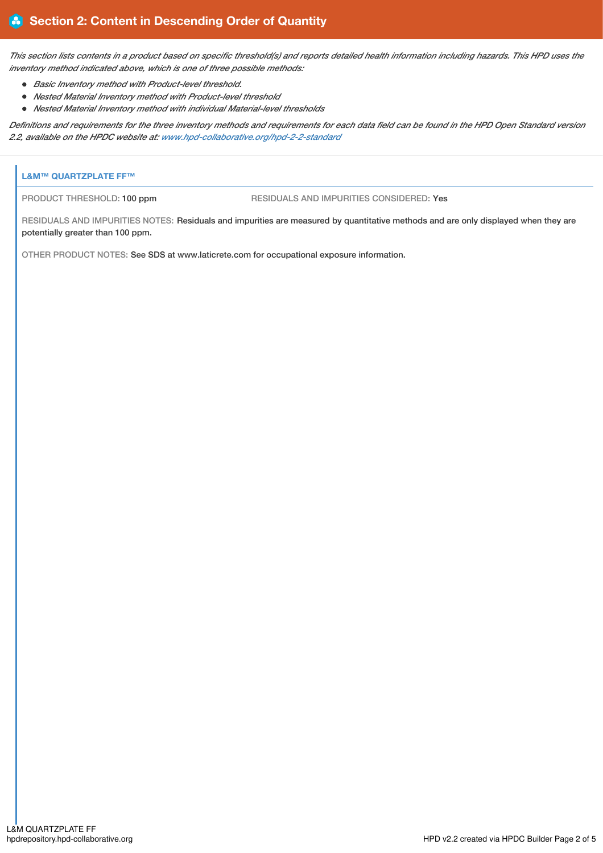This section lists contents in a product based on specific threshold(s) and reports detailed health information including hazards. This HPD uses the *inventory method indicated above, which is one of three possible methods:*

- *Basic Inventory method with Product-level threshold.*
- *Nested Material Inventory method with Product-level threshold*
- *Nested Material Inventory method with individual Material-level thresholds*

Definitions and requirements for the three inventory methods and requirements for each data field can be found in the HPD Open Standard version *2.2, available on the HPDC website at: [www.hpd-collaborative.org/hpd-2-2-standard](https://www.hpd-collaborative.org/hpd-2-2-standard)*

# **L&M™ QUARTZPLATE FF™**

PRODUCT THRESHOLD: 100 ppm RESIDUALS AND IMPURITIES CONSIDERED: Yes

RESIDUALS AND IMPURITIES NOTES: Residuals and impurities are measured by quantitative methods and are only displayed when they are potentially greater than 100 ppm.

OTHER PRODUCT NOTES: See SDS at www.laticrete.com for occupational exposure information.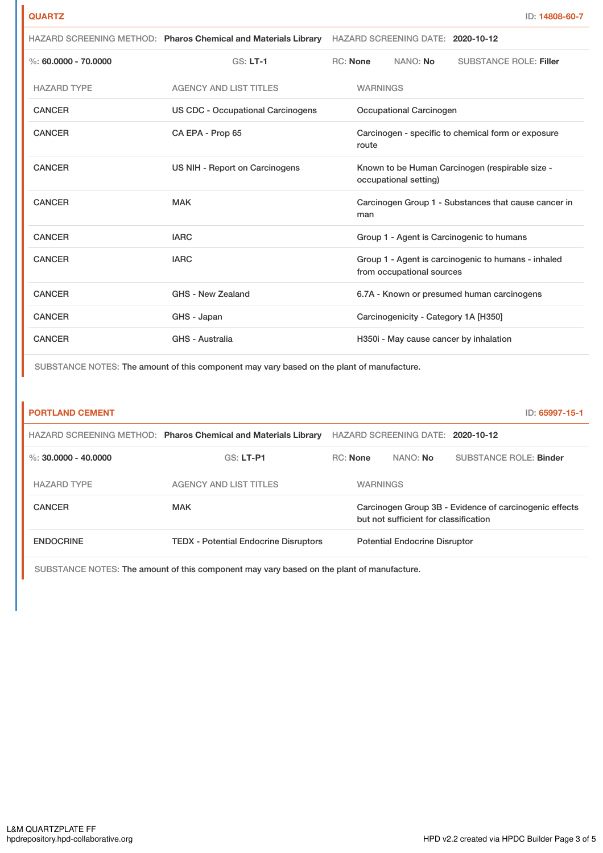| ×.<br>۰, | M.<br>۰. | . . |
|----------|----------|-----|

|                          | HAZARD SCREENING METHOD: Pharos Chemical and Materials Library | HAZARD SCREENING DATE: 2020-10-12                                                |                               |
|--------------------------|----------------------------------------------------------------|----------------------------------------------------------------------------------|-------------------------------|
| $\%$ : 60.0000 - 70.0000 | $GS: LT-1$                                                     | RC: None<br>NANO: <b>No</b>                                                      | <b>SUBSTANCE ROLE: Filler</b> |
| <b>HAZARD TYPE</b>       | <b>AGENCY AND LIST TITLES</b>                                  | <b>WARNINGS</b>                                                                  |                               |
| <b>CANCER</b>            | <b>US CDC - Occupational Carcinogens</b>                       | Occupational Carcinogen                                                          |                               |
| <b>CANCER</b>            | CA EPA - Prop 65                                               | Carcinogen - specific to chemical form or exposure<br>route                      |                               |
| <b>CANCER</b>            | US NIH - Report on Carcinogens                                 | Known to be Human Carcinogen (respirable size -<br>occupational setting)         |                               |
| <b>CANCER</b>            | <b>MAK</b>                                                     | Carcinogen Group 1 - Substances that cause cancer in<br>man                      |                               |
| <b>CANCER</b>            | <b>IARC</b>                                                    | Group 1 - Agent is Carcinogenic to humans                                        |                               |
| <b>CANCER</b>            | <b>IARC</b>                                                    | Group 1 - Agent is carcinogenic to humans - inhaled<br>from occupational sources |                               |
| <b>CANCER</b>            | GHS - New Zealand                                              | 6.7A - Known or presumed human carcinogens                                       |                               |
| <b>CANCER</b>            | GHS - Japan                                                    | Carcinogenicity - Category 1A [H350]                                             |                               |
| <b>CANCER</b>            | GHS - Australia                                                | H350i - May cause cancer by inhalation                                           |                               |

SUBSTANCE NOTES: The amount of this component may vary based on the plant of manufacture.

| <b>PORTLAND CEMENT</b> |                                                                |                 |                                                                                                 |                                   | ID: 65997-15-1                |  |
|------------------------|----------------------------------------------------------------|-----------------|-------------------------------------------------------------------------------------------------|-----------------------------------|-------------------------------|--|
|                        | HAZARD SCREENING METHOD: Pharos Chemical and Materials Library |                 |                                                                                                 | HAZARD SCREENING DATE: 2020-10-12 |                               |  |
| %: $30.0000 - 40.0000$ | $GS: LT-PI$                                                    | <b>RC:</b> None |                                                                                                 | NANO: No                          | <b>SUBSTANCE ROLE: Binder</b> |  |
| <b>HAZARD TYPE</b>     | <b>AGENCY AND LIST TITLES</b>                                  |                 | <b>WARNINGS</b>                                                                                 |                                   |                               |  |
| <b>CANCER</b>          | <b>MAK</b>                                                     |                 | Carcinogen Group 3B - Evidence of carcinogenic effects<br>but not sufficient for classification |                                   |                               |  |
| <b>ENDOCRINE</b>       | <b>TEDX</b> - Potential Endocrine Disruptors                   |                 | <b>Potential Endocrine Disruptor</b>                                                            |                                   |                               |  |
|                        |                                                                |                 |                                                                                                 |                                   |                               |  |

SUBSTANCE NOTES: The amount of this component may vary based on the plant of manufacture.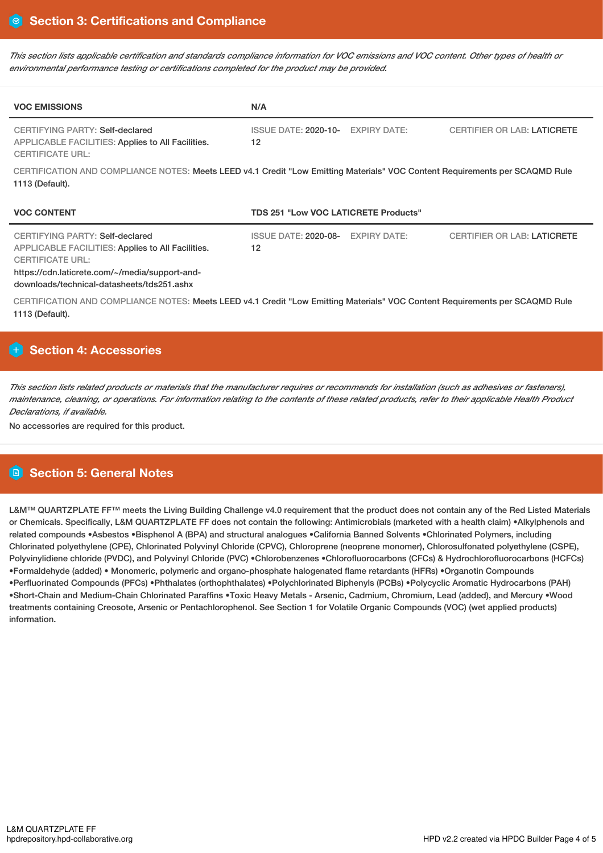This section lists applicable certification and standards compliance information for VOC emissions and VOC content. Other types of health or *environmental performance testing or certifications completed for the product may be provided.*

| <b>VOC EMISSIONS</b>                                                                                                                                              | N/A                                                                                                                          |
|-------------------------------------------------------------------------------------------------------------------------------------------------------------------|------------------------------------------------------------------------------------------------------------------------------|
| CERTIFYING PARTY: Self-declared<br>APPLICABLE FACILITIES: Applies to All Facilities.<br><b>CERTIFICATE URL:</b>                                                   | ISSUE DATE: 2020-10-<br><b>CERTIFIER OR LAB: LATICRETE</b><br><b>EXPIRY DATE:</b><br>12                                      |
| 1113 (Default).                                                                                                                                                   | CERTIFICATION AND COMPLIANCE NOTES: Meets LEED v4.1 Credit "Low Emitting Materials" VOC Content Requirements per SCAQMD Rule |
| <b>VOC CONTENT</b>                                                                                                                                                | <b>TDS 251 "Low VOC LATICRETE Products"</b>                                                                                  |
| CERTIFYING PARTY: Self-declared<br>APPLICABLE FACILITIES: Applies to All Facilities.<br><b>CERTIFICATE URL:</b><br>https://cdn.laticrete.com/~/media/support-and- | <b>ISSUE DATE: 2020-08-</b><br><b>CERTIFIER OR LAB: LATICRETE</b><br><b>EXPIRY DATE:</b><br>12                               |

downloads/technical-datasheets/tds251.ashx

CERTIFICATION AND COMPLIANCE NOTES: Meets LEED v4.1 Credit "Low Emitting Materials" VOC Content Requirements per SCAQMD Rule 1113 (Default).

# **Section 4: Accessories**

This section lists related products or materials that the manufacturer requires or recommends for installation (such as adhesives or fasteners), maintenance, cleaning, or operations. For information relating to the contents of these related products, refer to their applicable Health Product *Declarations, if available.*

No accessories are required for this product.

# **Section 5: General Notes**

L&M™ QUARTZPLATE FF™ meets the Living Building Challenge v4.0 requirement that the product does not contain any of the Red Listed Materials or Chemicals. Specifically, L&M QUARTZPLATE FF does not contain the following: Antimicrobials (marketed with a health claim) •Alkylphenols and related compounds •Asbestos •Bisphenol A (BPA) and structural analogues •California Banned Solvents •Chlorinated Polymers, including Chlorinated polyethylene (CPE), Chlorinated Polyvinyl Chloride (CPVC), Chloroprene (neoprene monomer), Chlorosulfonated polyethylene (CSPE), Polyvinylidiene chloride (PVDC), and Polyvinyl Chloride (PVC) •Chlorobenzenes •Chlorofluorocarbons (CFCs) & Hydrochlorofluorocarbons (HCFCs) •Formaldehyde (added) • Monomeric, polymeric and organo-phosphate halogenated flame retardants (HFRs) •Organotin Compounds •Perfluorinated Compounds (PFCs) •Phthalates (orthophthalates) •Polychlorinated Biphenyls (PCBs) •Polycyclic Aromatic Hydrocarbons (PAH) •Short-Chain and Medium-Chain Chlorinated Paraffins •Toxic Heavy Metals - Arsenic, Cadmium, Chromium, Lead (added), and Mercury •Wood treatments containing Creosote, Arsenic or Pentachlorophenol. See Section 1 for Volatile Organic Compounds (VOC) (wet applied products) information.